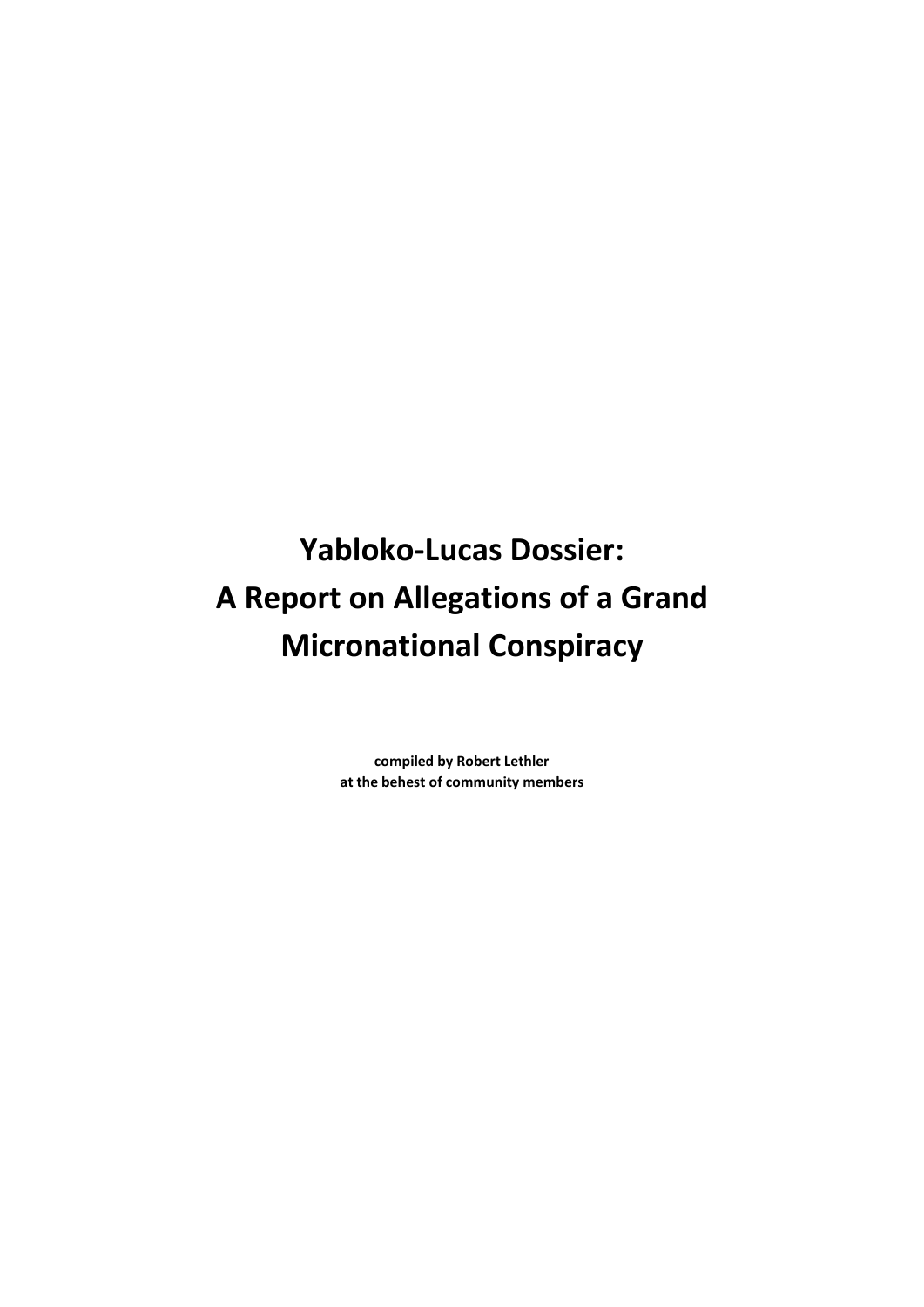**Yabloko-Lucas Dossier: A Report on Allegations of a Grand Micronational Conspiracy**

> **compiled by Robert Lethler at the behest of community members**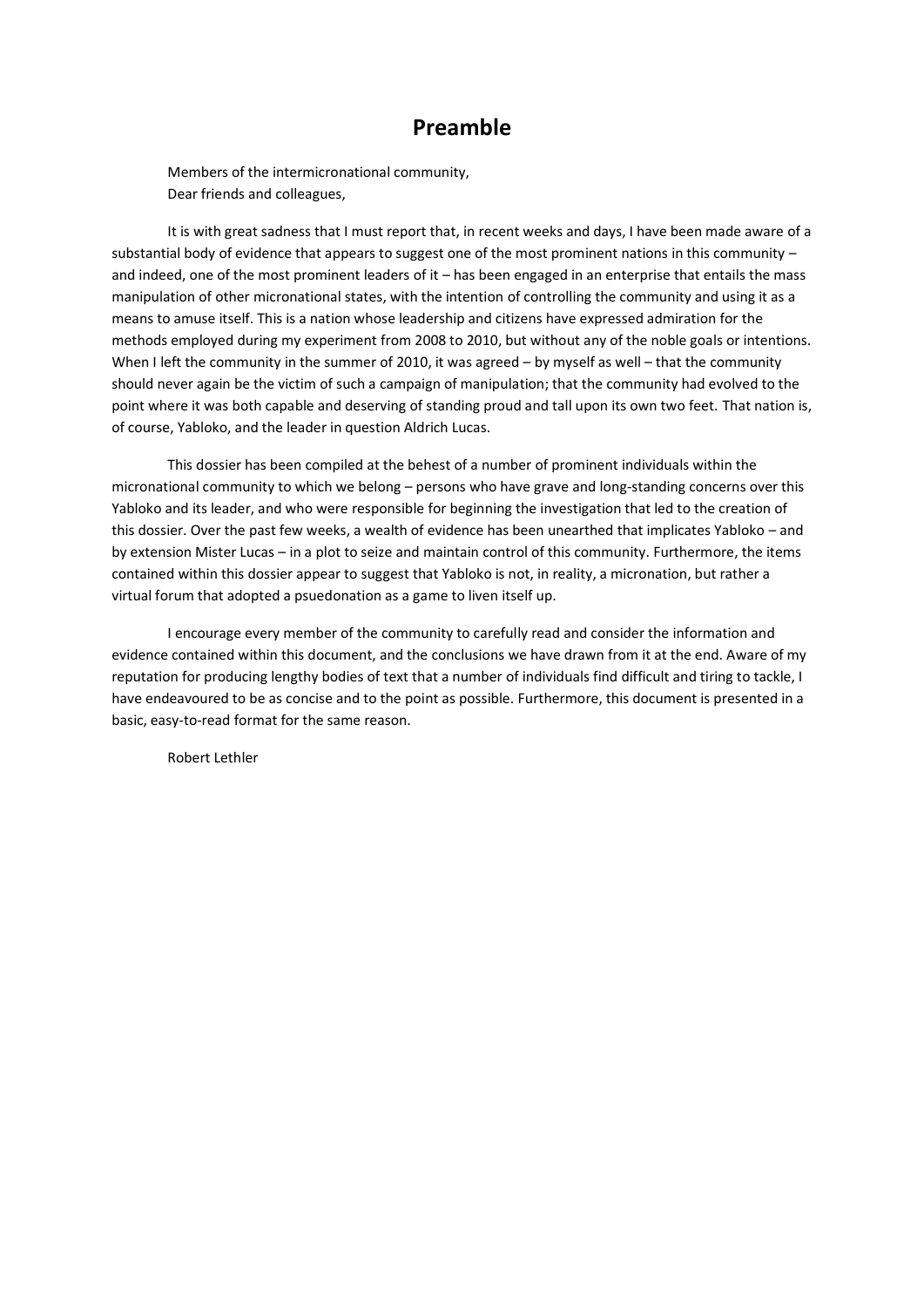### **Preamble**

Members of the intermicronational community, Dear friends and colleagues,

It is with great sadness that I must report that, in recent weeks and days, I have been made aware of a substantial body of evidence that appears to suggest one of the most prominent nations in this community – and indeed, one of the most prominent leaders of it – has been engaged in an enterprise that entails the mass manipulation of other micronational states, with the intention of controlling the community and using it as a means to amuse itself. This is a nation whose leadership and citizens have expressed admiration for the methods employed during my experiment from 2008 to 2010, but without any of the noble goals or intentions. When I left the community in the summer of 2010, it was agreed – by myself as well – that the community should never again be the victim of such a campaign of manipulation; that the community had evolved to the point where it was both capable and deserving of standing proud and tall upon its own two feet. That nation is, of course, Yabloko, and the leader in question Aldrich Lucas.

This dossier has been compiled at the behest of a number of prominent individuals within the micronational community to which we belong – persons who have grave and long-standing concerns over this Yabloko and its leader, and who were responsible for beginning the investigation that led to the creation of this dossier. Over the past few weeks, a wealth of evidence has been unearthed that implicates Yabloko – and by extension Mister Lucas – in a plot to seize and maintain control of this community. Furthermore, the items contained within this dossier appear to suggest that Yabloko is not, in reality, a micronation, but rather a virtual forum that adopted a psuedonation as a game to liven itself up.

I encourage every member of the community to carefully read and consider the information and evidence contained within this document, and the conclusions we have drawn from it at the end. Aware of my reputation for producing lengthy bodies of text that a number of individuals find difficult and tiring to tackle, I have endeavoured to be as concise and to the point as possible. Furthermore, this document is presented in a basic, easy-to-read format for the same reason.

Robert Lethler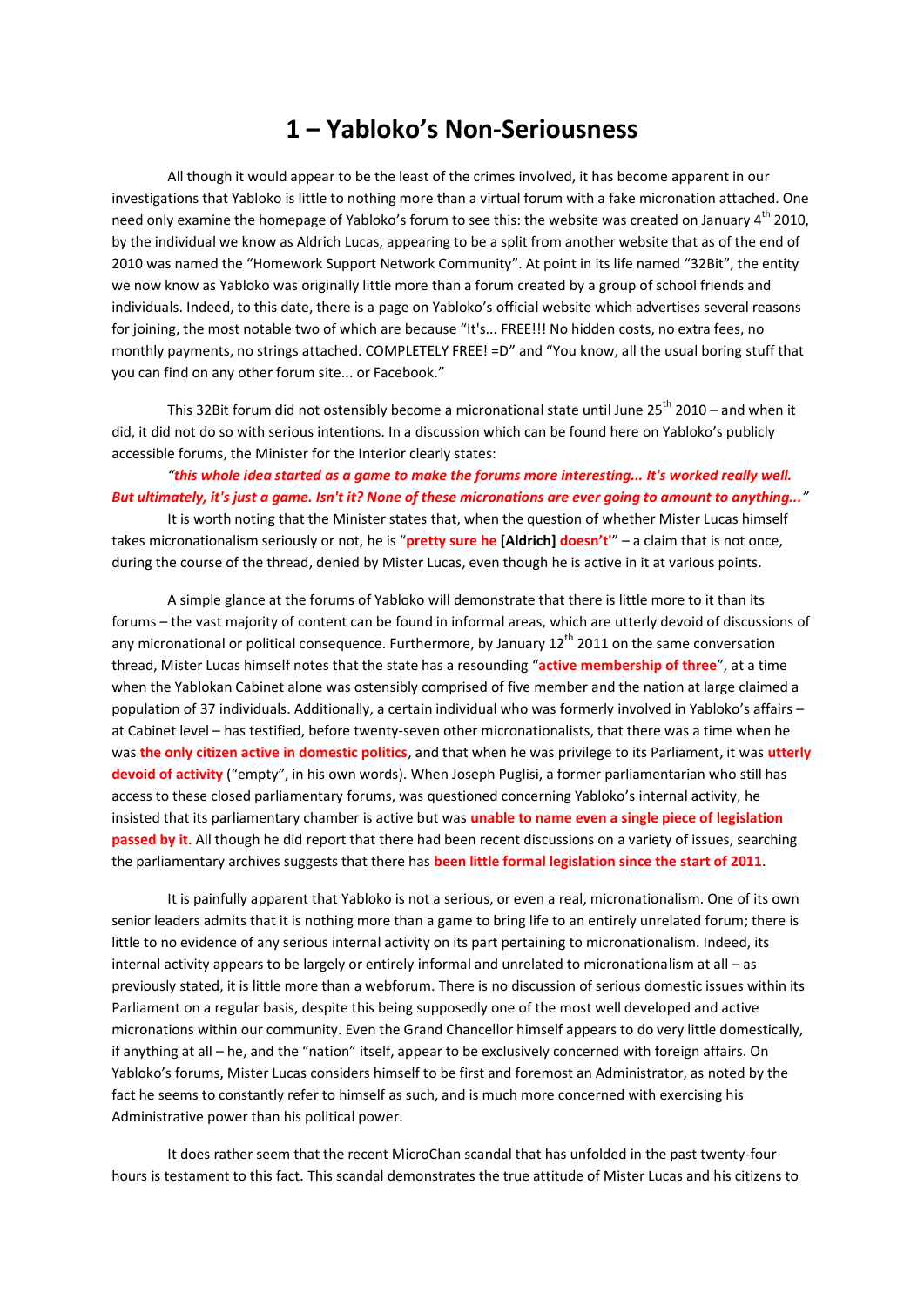### **1 – Yabloko's Non-Seriousness**

All though it would appear to be the least of the crimes involved, it has become apparent in our investigations that Yabloko is little to nothing more than a virtual forum with a fake micronation attached. One need only examine the homepage of Yabloko's forum to see this: the website was created on January  $4^{th}$  2010, by the individual we know as Aldrich Lucas, appearing to be a split from another website that as of the end of 2010 was named the "Homework Support Network Community". At point in its life named "32Bit", the entity we now know as Yabloko was originally little more than a forum created by a group of school friends and individuals. Indeed, to this date, there is a page on Yabloko's official website which advertises several reasons for joining, the most notable two of which are because "It's... FREE!!! No hidden costs, no extra fees, no monthly payments, no strings attached. COMPLETELY FREE! =D" and "You know, all the usual boring stuff that you can find on any other forum site... or Facebook."

This 32Bit forum did not ostensibly become a micronational state until June  $25<sup>th</sup>$  2010 – and when it did, it did not do so with serious intentions. In a discussion which can be found here on Yabloko's publicly accessible forums, the Minister for the Interior clearly states:

### *"this whole idea started as a game to make the forums more interesting... It's worked really well. But ultimately, it's just a game. Isn't it? None of these micronations are ever going to amount to anything..."*

It is worth noting that the Minister states that, when the question of whether Mister Lucas himself takes micronationalism seriously or not, he is "**pretty sure he [Aldrich] doesn't'**" – a claim that is not once, during the course of the thread, denied by Mister Lucas, even though he is active in it at various points.

A simple glance at the forums of Yabloko will demonstrate that there is little more to it than its forums – the vast majority of content can be found in informal areas, which are utterly devoid of discussions of any micronational or political consequence. Furthermore, by January 12<sup>th</sup> 2011 on the same conversation thread, Mister Lucas himself notes that the state has a resounding "**active membership of three**", at a time when the Yablokan Cabinet alone was ostensibly comprised of five member and the nation at large claimed a population of 37 individuals. Additionally, a certain individual who was formerly involved in Yabloko's affairs – at Cabinet level – has testified, before twenty-seven other micronationalists, that there was a time when he was **the only citizen active in domestic politics**, and that when he was privilege to its Parliament, it was **utterly devoid of activity** ("empty", in his own words). When Joseph Puglisi, a former parliamentarian who still has access to these closed parliamentary forums, was questioned concerning Yabloko's internal activity, he insisted that its parliamentary chamber is active but was **unable to name even a single piece of legislation passed by it**. All though he did report that there had been recent discussions on a variety of issues, searching the parliamentary archives suggests that there has **been little formal legislation since the start of 2011**.

It is painfully apparent that Yabloko is not a serious, or even a real, micronationalism. One of its own senior leaders admits that it is nothing more than a game to bring life to an entirely unrelated forum; there is little to no evidence of any serious internal activity on its part pertaining to micronationalism. Indeed, its internal activity appears to be largely or entirely informal and unrelated to micronationalism at all – as previously stated, it is little more than a webforum. There is no discussion of serious domestic issues within its Parliament on a regular basis, despite this being supposedly one of the most well developed and active micronations within our community. Even the Grand Chancellor himself appears to do very little domestically, if anything at all – he, and the "nation" itself, appear to be exclusively concerned with foreign affairs. On Yabloko's forums, Mister Lucas considers himself to be first and foremost an Administrator, as noted by the fact he seems to constantly refer to himself as such, and is much more concerned with exercising his Administrative power than his political power.

It does rather seem that the recent MicroChan scandal that has unfolded in the past twenty-four hours is testament to this fact. This scandal demonstrates the true attitude of Mister Lucas and his citizens to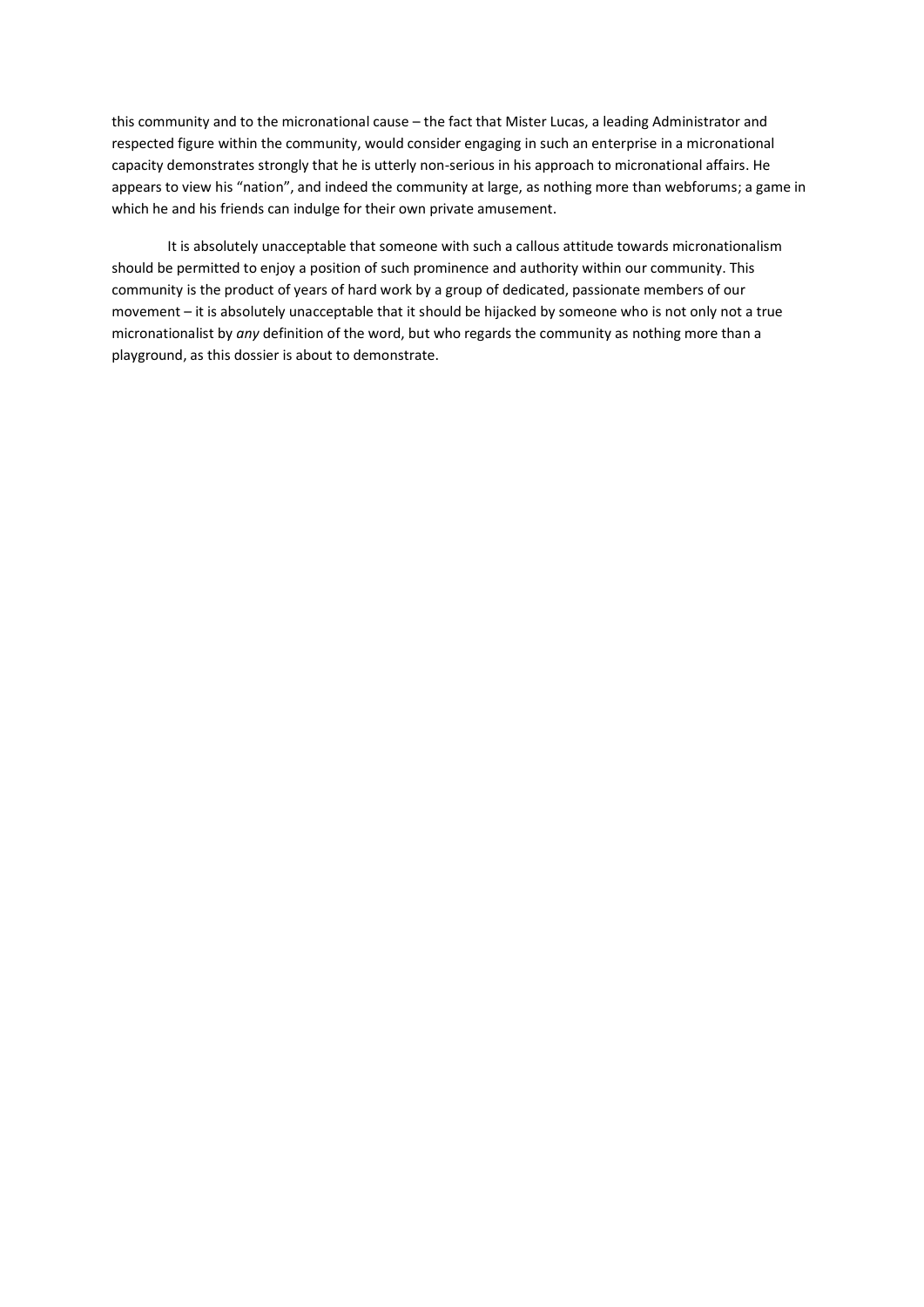this community and to the micronational cause – the fact that Mister Lucas, a leading Administrator and respected figure within the community, would consider engaging in such an enterprise in a micronational capacity demonstrates strongly that he is utterly non-serious in his approach to micronational affairs. He appears to view his "nation", and indeed the community at large, as nothing more than webforums; a game in which he and his friends can indulge for their own private amusement.

It is absolutely unacceptable that someone with such a callous attitude towards micronationalism should be permitted to enjoy a position of such prominence and authority within our community. This community is the product of years of hard work by a group of dedicated, passionate members of our movement – it is absolutely unacceptable that it should be hijacked by someone who is not only not a true micronationalist by *any* definition of the word, but who regards the community as nothing more than a playground, as this dossier is about to demonstrate.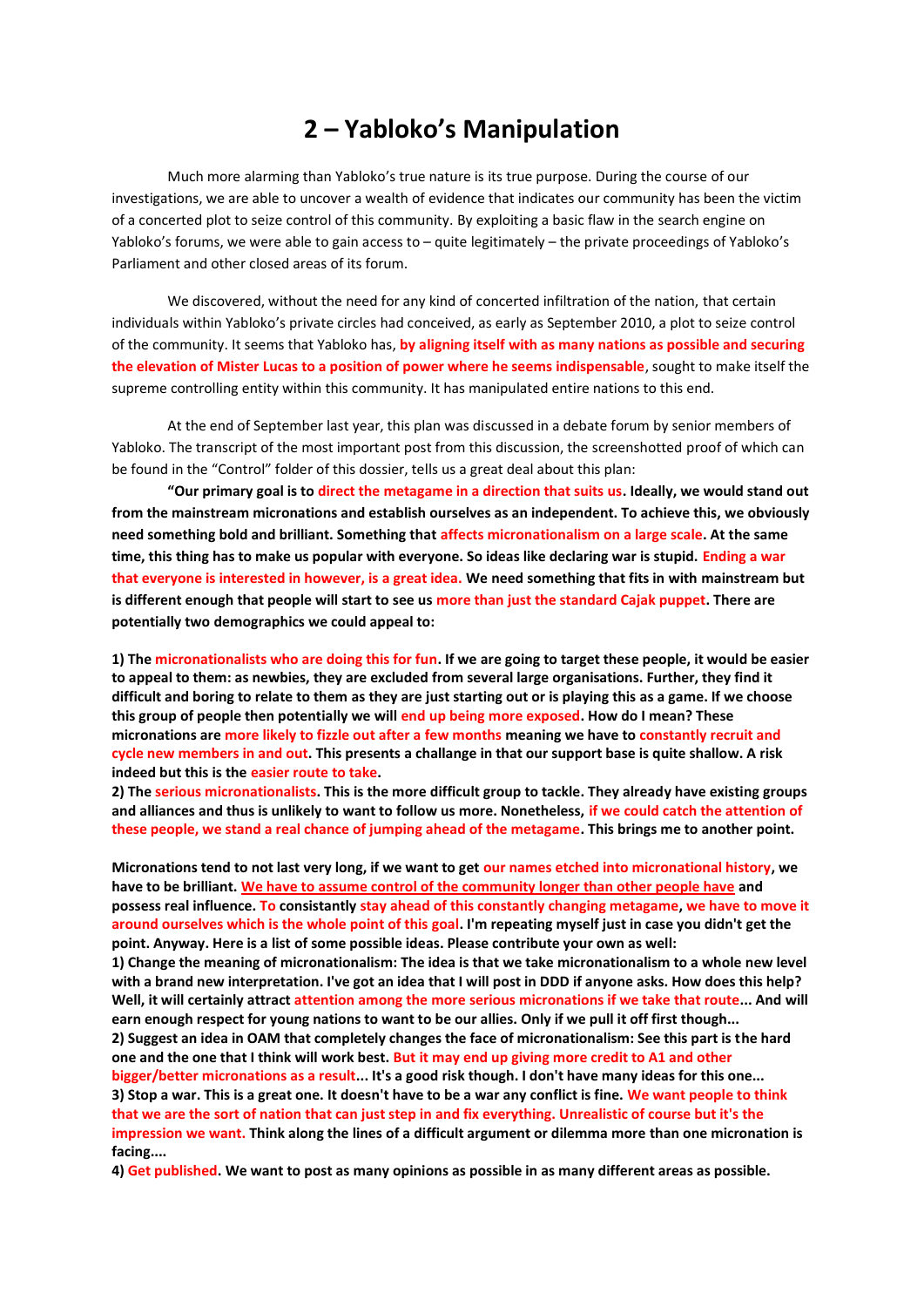## **2 – Yabloko's Manipulation**

Much more alarming than Yabloko's true nature is its true purpose. During the course of our investigations, we are able to uncover a wealth of evidence that indicates our community has been the victim of a concerted plot to seize control of this community. By exploiting a basic flaw in the search engine on Yabloko's forums, we were able to gain access to – quite legitimately – the private proceedings of Yabloko's Parliament and other closed areas of its forum.

We discovered, without the need for any kind of concerted infiltration of the nation, that certain individuals within Yabloko's private circles had conceived, as early as September 2010, a plot to seize control of the community. It seems that Yabloko has, **by aligning itself with as many nations as possible and securing the elevation of Mister Lucas to a position of power where he seems indispensable**, sought to make itself the supreme controlling entity within this community. It has manipulated entire nations to this end.

At the end of September last year, this plan was discussed in a debate forum by senior members of Yabloko. The transcript of the most important post from this discussion, the screenshotted proof of which can be found in the "Control" folder of this dossier, tells us a great deal about this plan:

**"Our primary goal is to direct the metagame in a direction that suits us. Ideally, we would stand out from the mainstream micronations and establish ourselves as an independent. To achieve this, we obviously need something bold and brilliant. Something that affects micronationalism on a large scale. At the same time, this thing has to make us popular with everyone. So ideas like declaring war is stupid. Ending a war that everyone is interested in however, is a great idea. We need something that fits in with mainstream but is different enough that people will start to see us more than just the standard Cajak puppet. There are potentially two demographics we could appeal to:**

**1) The micronationalists who are doing this for fun. If we are going to target these people, it would be easier to appeal to them: as newbies, they are excluded from several large organisations. Further, they find it difficult and boring to relate to them as they are just starting out or is playing this as a game. If we choose this group of people then potentially we will end up being more exposed. How do I mean? These micronations are more likely to fizzle out after a few months meaning we have to constantly recruit and cycle new members in and out. This presents a challange in that our support base is quite shallow. A risk indeed but this is the easier route to take.** 

**2) The serious micronationalists. This is the more difficult group to tackle. They already have existing groups and alliances and thus is unlikely to want to follow us more. Nonetheless, if we could catch the attention of these people, we stand a real chance of jumping ahead of the metagame. This brings me to another point.**

**Micronations tend to not last very long, if we want to get our names etched into micronational history, we have to be brilliant. We have to assume control of the community longer than other people have and possess real influence. To consistantly stay ahead of this constantly changing metagame, we have to move it around ourselves which is the whole point of this goal. I'm repeating myself just in case you didn't get the point. Anyway. Here is a list of some possible ideas. Please contribute your own as well:**

**1) Change the meaning of micronationalism: The idea is that we take micronationalism to a whole new level with a brand new interpretation. I've got an idea that I will post in DDD if anyone asks. How does this help? Well, it will certainly attract attention among the more serious micronations if we take that route... And will earn enough respect for young nations to want to be our allies. Only if we pull it off first though... 2) Suggest an idea in OAM that completely changes the face of micronationalism: See this part is the hard** 

**one and the one that I think will work best. But it may end up giving more credit to A1 and other bigger/better micronations as a result... It's a good risk though. I don't have many ideas for this one...**

**3) Stop a war. This is a great one. It doesn't have to be a war any conflict is fine. We want people to think that we are the sort of nation that can just step in and fix everything. Unrealistic of course but it's the impression we want. Think along the lines of a difficult argument or dilemma more than one micronation is facing....**

**4) Get published. We want to post as many opinions as possible in as many different areas as possible.**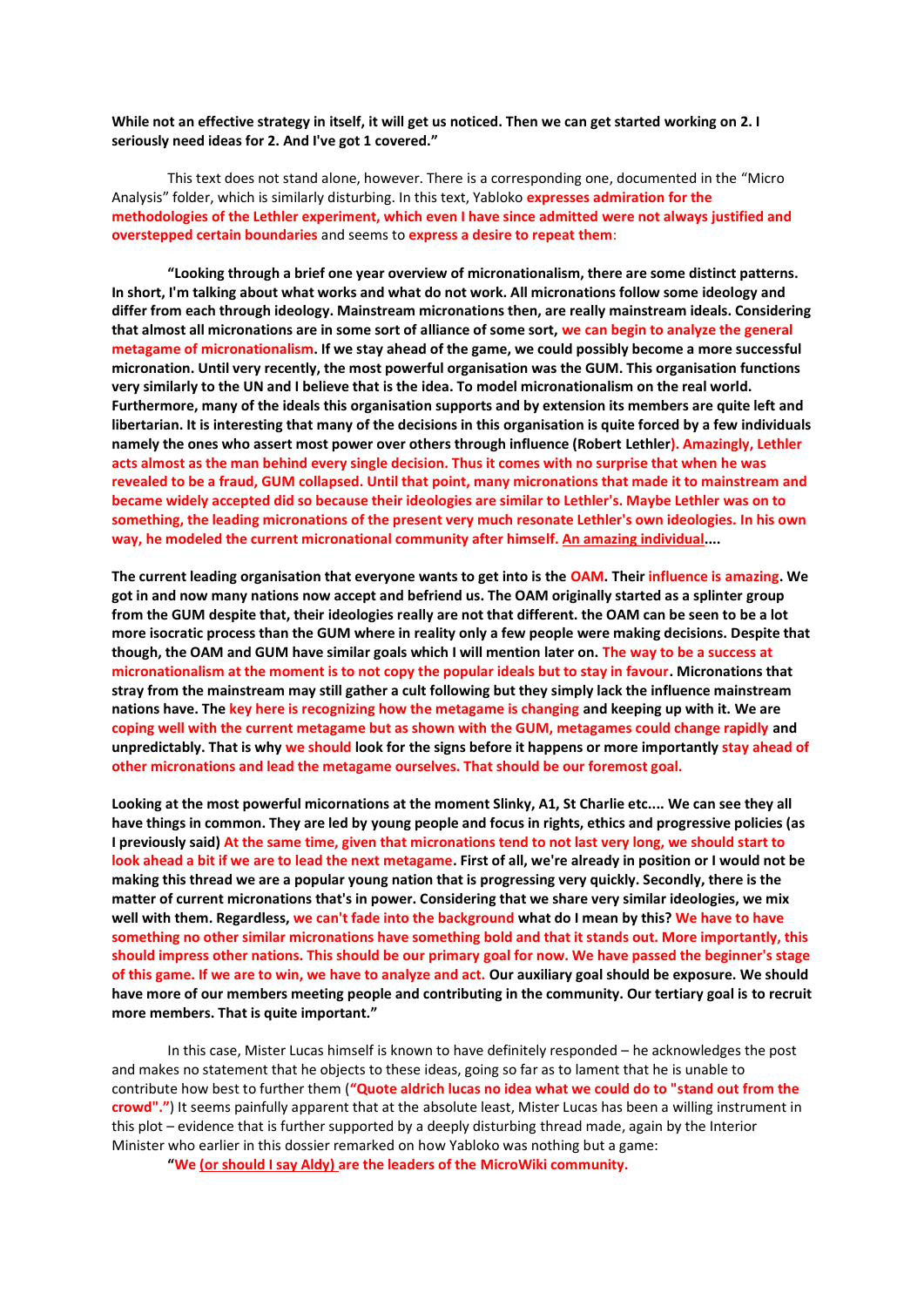**While not an effective strategy in itself, it will get us noticed. Then we can get started working on 2. I seriously need ideas for 2. And I've got 1 covered."**

This text does not stand alone, however. There is a corresponding one, documented in the "Micro Analysis" folder, which is similarly disturbing. In this text, Yabloko **expresses admiration for the methodologies of the Lethler experiment, which even I have since admitted were not always justified and overstepped certain boundaries** and seems to **express a desire to repeat them**:

**"Looking through a brief one year overview of micronationalism, there are some distinct patterns. In short, I'm talking about what works and what do not work. All micronations follow some ideology and differ from each through ideology. Mainstream micronations then, are really mainstream ideals. Considering that almost all micronations are in some sort of alliance of some sort, we can begin to analyze the general metagame of micronationalism. If we stay ahead of the game, we could possibly become a more successful micronation. Until very recently, the most powerful organisation was the GUM. This organisation functions very similarly to the UN and I believe that is the idea. To model micronationalism on the real world. Furthermore, many of the ideals this organisation supports and by extension its members are quite left and libertarian. It is interesting that many of the decisions in this organisation is quite forced by a few individuals namely the ones who assert most power over others through influence (Robert Lethler). Amazingly, Lethler acts almost as the man behind every single decision. Thus it comes with no surprise that when he was revealed to be a fraud, GUM collapsed. Until that point, many micronations that made it to mainstream and became widely accepted did so because their ideologies are similar to Lethler's. Maybe Lethler was on to something, the leading micronations of the present very much resonate Lethler's own ideologies. In his own way, he modeled the current micronational community after himself. An amazing individual....**

**The current leading organisation that everyone wants to get into is the OAM. Their influence is amazing. We got in and now many nations now accept and befriend us. The OAM originally started as a splinter group from the GUM despite that, their ideologies really are not that different. the OAM can be seen to be a lot more isocratic process than the GUM where in reality only a few people were making decisions. Despite that though, the OAM and GUM have similar goals which I will mention later on. The way to be a success at micronationalism at the moment is to not copy the popular ideals but to stay in favour. Micronations that stray from the mainstream may still gather a cult following but they simply lack the influence mainstream nations have. The key here is recognizing how the metagame is changing and keeping up with it. We are coping well with the current metagame but as shown with the GUM, metagames could change rapidly and unpredictably. That is why we should look for the signs before it happens or more importantly stay ahead of other micronations and lead the metagame ourselves. That should be our foremost goal.**

**Looking at the most powerful micornations at the moment Slinky, A1, St Charlie etc.... We can see they all have things in common. They are led by young people and focus in rights, ethics and progressive policies (as I previously said) At the same time, given that micronations tend to not last very long, we should start to look ahead a bit if we are to lead the next metagame. First of all, we're already in position or I would not be making this thread we are a popular young nation that is progressing very quickly. Secondly, there is the matter of current micronations that's in power. Considering that we share very similar ideologies, we mix well with them. Regardless, we can't fade into the background what do I mean by this? We have to have something no other similar micronations have something bold and that it stands out. More importantly, this should impress other nations. This should be our primary goal for now. We have passed the beginner's stage of this game. If we are to win, we have to analyze and act. Our auxiliary goal should be exposure. We should have more of our members meeting people and contributing in the community. Our tertiary goal is to recruit more members. That is quite important."**

In this case, Mister Lucas himself is known to have definitely responded – he acknowledges the post and makes no statement that he objects to these ideas, going so far as to lament that he is unable to contribute how best to further them (**"Quote aldrich lucas no idea what we could do to "stand out from the crowd"."**) It seems painfully apparent that at the absolute least, Mister Lucas has been a willing instrument in this plot – evidence that is further supported by a deeply disturbing thread made, again by the Interior Minister who earlier in this dossier remarked on how Yabloko was nothing but a game:

**"We (or should I say Aldy) are the leaders of the MicroWiki community.**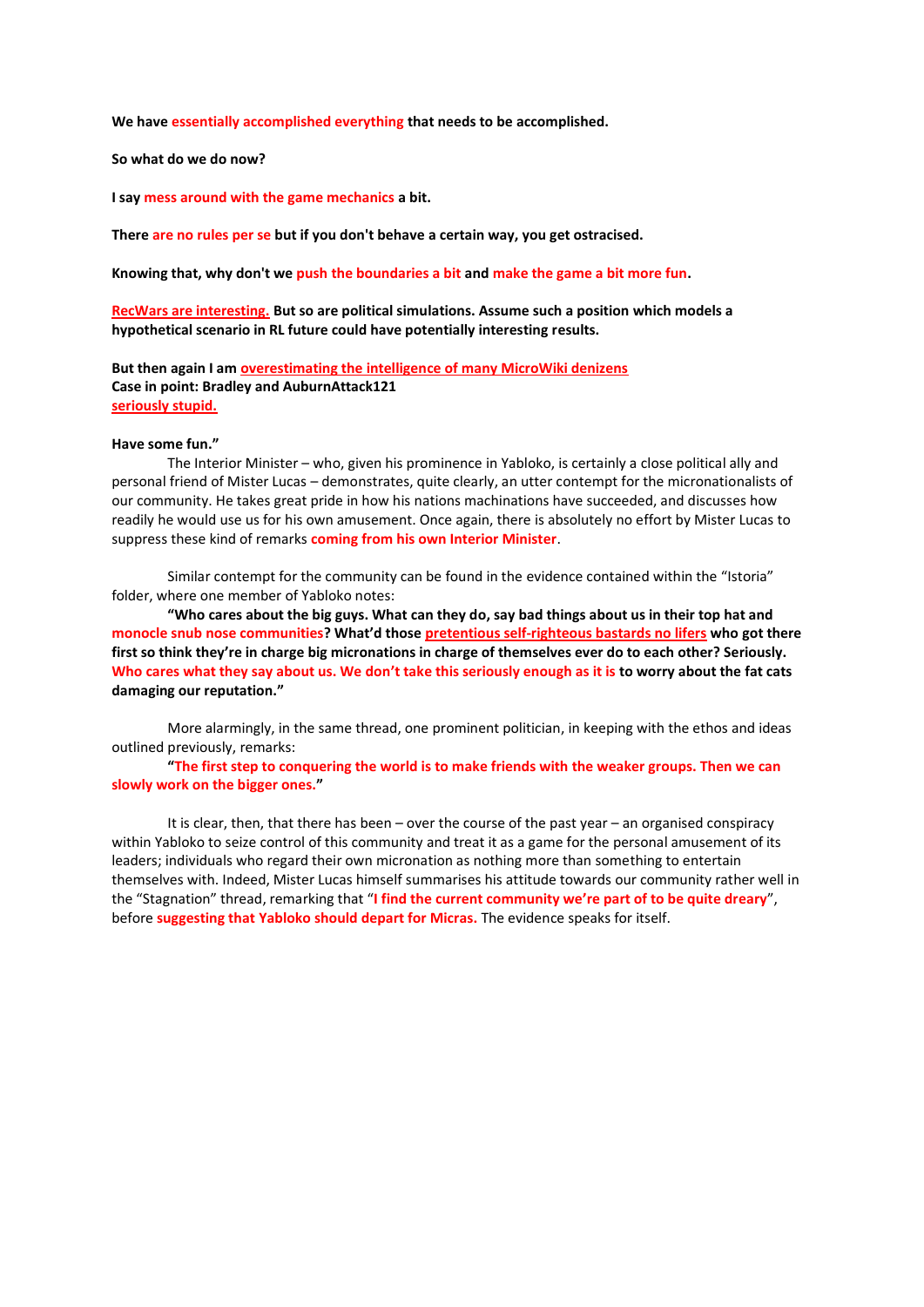**We have essentially accomplished everything that needs to be accomplished.**

#### **So what do we do now?**

**I say mess around with the game mechanics a bit.**

**There are no rules per se but if you don't behave a certain way, you get ostracised.**

**Knowing that, why don't we push the boundaries a bit and make the game a bit more fun.**

**RecWars are interesting. But so are political simulations. Assume such a position which models a hypothetical scenario in RL future could have potentially interesting results.**

**But then again I am overestimating the intelligence of many MicroWiki denizens Case in point: Bradley and AuburnAttack121 seriously stupid.**

#### **Have some fun."**

The Interior Minister – who, given his prominence in Yabloko, is certainly a close political ally and personal friend of Mister Lucas – demonstrates, quite clearly, an utter contempt for the micronationalists of our community. He takes great pride in how his nations machinations have succeeded, and discusses how readily he would use us for his own amusement. Once again, there is absolutely no effort by Mister Lucas to suppress these kind of remarks **coming from his own Interior Minister**.

Similar contempt for the community can be found in the evidence contained within the "Istoria" folder, where one member of Yabloko notes:

**"Who cares about the big guys. What can they do, say bad things about us in their top hat and monocle snub nose communities? What'd those pretentious self-righteous bastards no lifers who got there first so think they're in charge big micronations in charge of themselves ever do to each other? Seriously. Who cares what they say about us. We don't take this seriously enough as it is to worry about the fat cats damaging our reputation."**

More alarmingly, in the same thread, one prominent politician, in keeping with the ethos and ideas outlined previously, remarks:

**"The first step to conquering the world is to make friends with the weaker groups. Then we can slowly work on the bigger ones."**

It is clear, then, that there has been – over the course of the past year – an organised conspiracy within Yabloko to seize control of this community and treat it as a game for the personal amusement of its leaders; individuals who regard their own micronation as nothing more than something to entertain themselves with. Indeed, Mister Lucas himself summarises his attitude towards our community rather well in the "Stagnation" thread, remarking that "**I find the current community we're part of to be quite dreary**", before **suggesting that Yabloko should depart for Micras.** The evidence speaks for itself.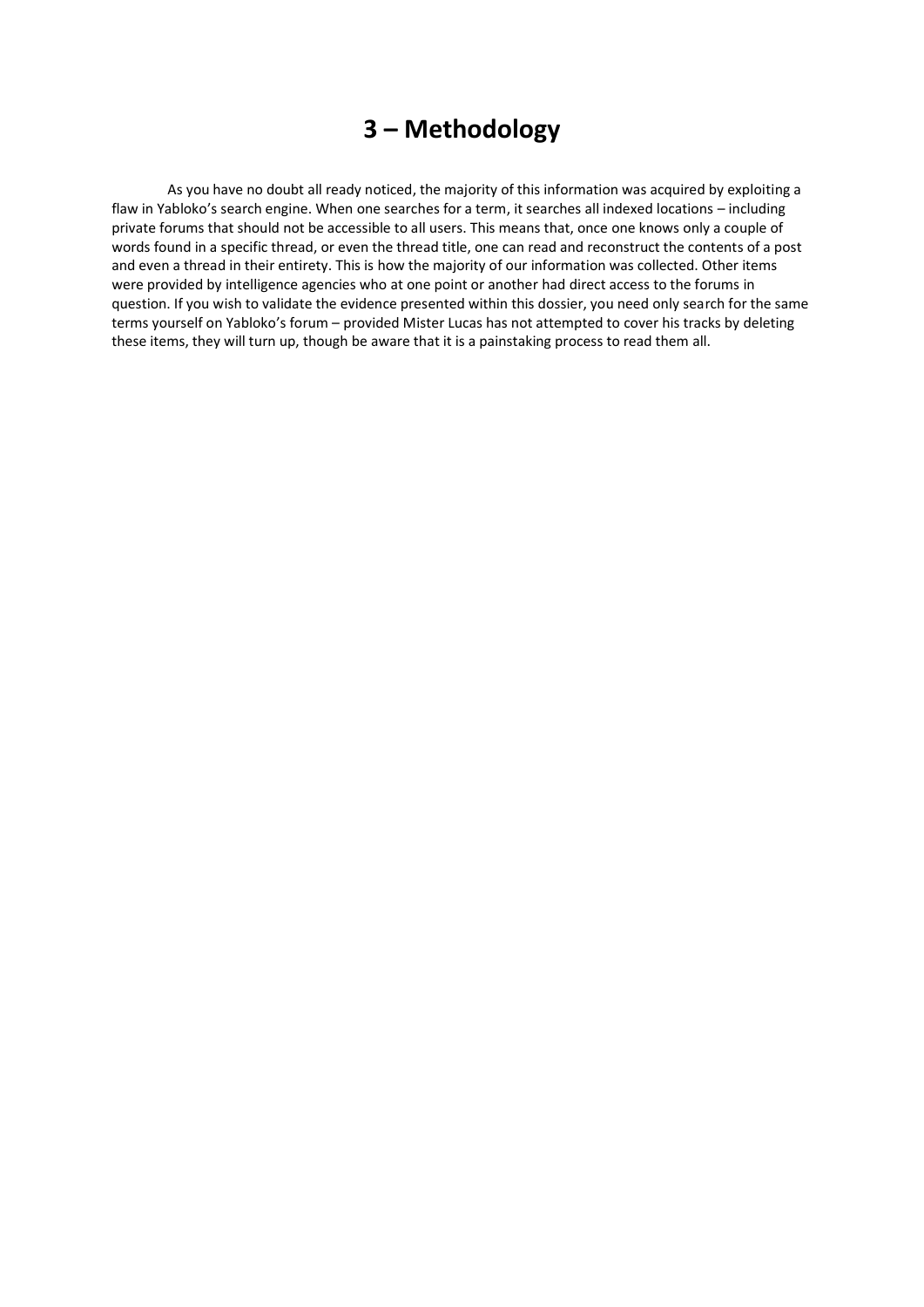# **3 – Methodology**

As you have no doubt all ready noticed, the majority of this information was acquired by exploiting a flaw in Yabloko's search engine. When one searches for a term, it searches all indexed locations – including private forums that should not be accessible to all users. This means that, once one knows only a couple of words found in a specific thread, or even the thread title, one can read and reconstruct the contents of a post and even a thread in their entirety. This is how the majority of our information was collected. Other items were provided by intelligence agencies who at one point or another had direct access to the forums in question. If you wish to validate the evidence presented within this dossier, you need only search for the same terms yourself on Yabloko's forum – provided Mister Lucas has not attempted to cover his tracks by deleting these items, they will turn up, though be aware that it is a painstaking process to read them all.